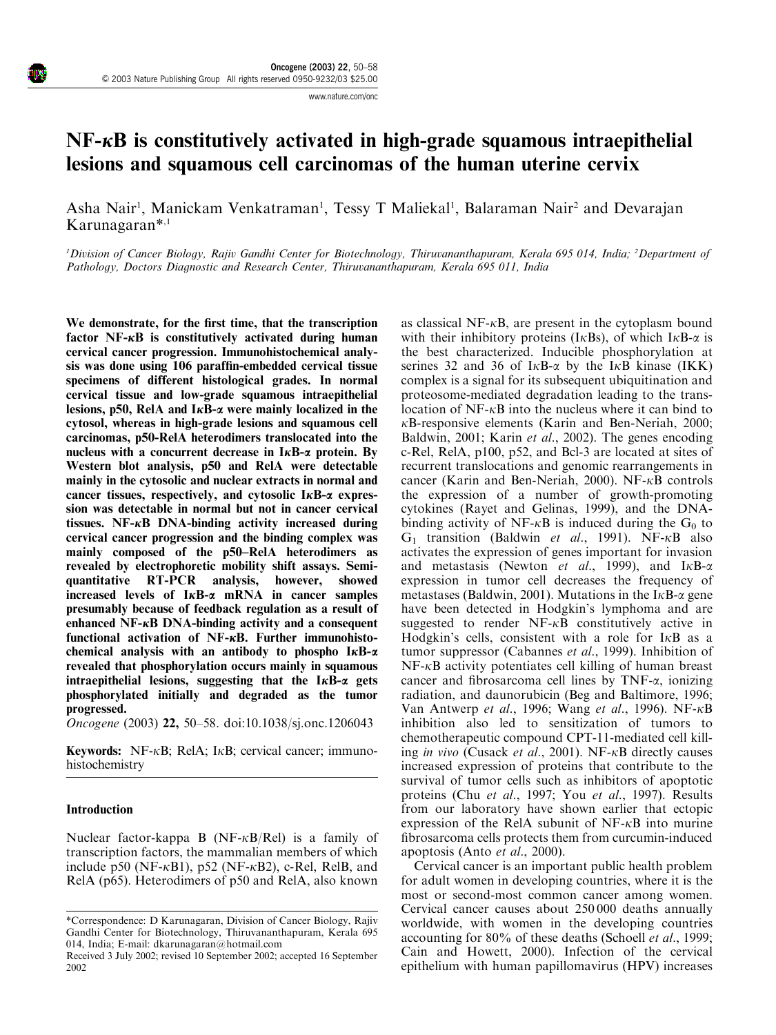www.nature.com/onc

# $NF-\kappa B$  is constitutively activated in high-grade squamous intraepithelial lesions and squamous cell carcinomas of the human uterine cervix

Asha Nair<sup>1</sup>, Manickam Venkatraman<sup>1</sup>, Tessy T Maliekal<sup>1</sup>, Balaraman Nair<sup>2</sup> and Devarajan Karunagaran\*,1

<sup>1</sup>Division of Cancer Biology, Rajiv Gandhi Center for Biotechnology, Thiruvananthapuram, Kerala 695 014, India; <sup>2</sup>Department of Pathology, Doctors Diagnostic and Research Center, Thiruvananthapuram, Kerala 695 011, India

We demonstrate, for the first time, that the transcription factor  $NF-\kappa B$  is constitutively activated during human cervical cancer progression. Immunohistochemical analysis was done using 106 paraffin-embedded cervical tissue specimens of different histological grades. In normal cervical tissue and low-grade squamous intraepithelial lesions, p50, RelA and  $I\kappa B$ - $\alpha$  were mainly localized in the cytosol, whereas in high-grade lesions and squamous cell carcinomas, p50-RelA heterodimers translocated into the nucleus with a concurrent decrease in  $I \kappa B$ - $\alpha$  protein. By Western blot analysis, p50 and RelA were detectable mainly in the cytosolic and nuclear extracts in normal and cancer tissues, respectively, and cytosolic  $I \kappa B$ - $\alpha$  expression was detectable in normal but not in cancer cervical tissues. NF- $\kappa$ B DNA-binding activity increased during cervical cancer progression and the binding complex was mainly composed of the p50–RelA heterodimers as revealed by electrophoretic mobility shift assays. Semiquantitative RT-PCR analysis, however, showed increased levels of  $I\kappa B$ - $\alpha$  mRNA in cancer samples presumably because of feedback regulation as a result of enhanced NF- $\kappa$ B DNA-binding activity and a consequent functional activation of NF- $\kappa$ B. Further immunohistochemical analysis with an antibody to phospho  $I \kappa B - \alpha$ revealed that phosphorylation occurs mainly in squamous intraepithelial lesions, suggesting that the  $I\kappa B-\alpha$  gets phosphorylated initially and degraded as the tumor progressed.

Oncogene (2003) 22, 50–58. doi:10.1038/sj.onc.1206043

**Keywords:** NF- $\kappa$ B; RelA; I $\kappa$ B; cervical cancer; immunohistochemistry

#### Introduction

Nuclear factor-kappa B (NF- $\kappa$ B/Rel) is a family of transcription factors, the mammalian members of which include p50 (NF- $\kappa$ B1), p52 (NF- $\kappa$ B2), c-Rel, RelB, and RelA (p65). Heterodimers of p50 and RelA, also known as classical NF- $\kappa$ B, are present in the cytoplasm bound with their inhibitory proteins (I $\kappa$ Bs), of which I $\kappa$ B- $\alpha$  is the best characterized. Inducible phosphorylation at serines 32 and 36 of  $I \kappa B$ - $\alpha$  by the I $\kappa B$  kinase (IKK) complex is a signal for its subsequent ubiquitination and proteosome-mediated degradation leading to the translocation of  $NF-\kappa B$  into the nucleus where it can bind to  $\kappa$ B-responsive elements (Karin and Ben-Neriah, 2000; Baldwin, 2001; Karin et al., 2002). The genes encoding c-Rel, RelA, p100, p52, and Bcl-3 are located at sites of recurrent translocations and genomic rearrangements in cancer (Karin and Ben-Neriah, 2000). NF-kB controls the expression of a number of growth-promoting cytokines (Rayet and Gelinas, 1999), and the DNAbinding activity of NF- $\kappa$ B is induced during the G<sub>0</sub> to  $G_1$  transition (Baldwin *et al.*, 1991). NF- $\kappa$ B also activates the expression of genes important for invasion and metastasis (Newton et al., 1999), and  $I<sub>K</sub>B-\alpha$ expression in tumor cell decreases the frequency of metastases (Baldwin, 2001). Mutations in the I $\kappa$ B- $\alpha$  gene have been detected in Hodgkin's lymphoma and are suggested to render  $NF-\kappa B$  constitutively active in Hodgkin's cells, consistent with a role for  $I<sub>K</sub>B$  as a tumor suppressor (Cabannes et al., 1999). Inhibition of  $NF-\kappa B$  activity potentiates cell killing of human breast cancer and fibrosarcoma cell lines by TNF-a, ionizing radiation, and daunorubicin (Beg and Baltimore, 1996; Van Antwerp et al., 1996; Wang et al., 1996). NF- $\kappa$ B inhibition also led to sensitization of tumors to chemotherapeutic compound CPT-11-mediated cell killing in vivo (Cusack et al., 2001). NF- $\kappa$ B directly causes increased expression of proteins that contribute to the survival of tumor cells such as inhibitors of apoptotic proteins (Chu et al., 1997; You et al., 1997). Results from our laboratory have shown earlier that ectopic expression of the RelA subunit of  $NF-\kappa B$  into murine fibrosarcoma cells protects them from curcumin-induced apoptosis (Anto et al., 2000).

Cervical cancer is an important public health problem for adult women in developing countries, where it is the most or second-most common cancer among women. Cervical cancer causes about 250 000 deaths annually worldwide, with women in the developing countries accounting for 80% of these deaths (Schoell et al., 1999; Cain and Howett, 2000). Infection of the cervical epithelium with human papillomavirus (HPV) increases

<sup>\*</sup>Correspondence: D Karunagaran, Division of Cancer Biology, Rajiv Gandhi Center for Biotechnology, Thiruvananthapuram, Kerala 695 014, India; E-mail: dkarunagaran@hotmail.com

Received 3 July 2002; revised 10 September 2002; accepted 16 September 2002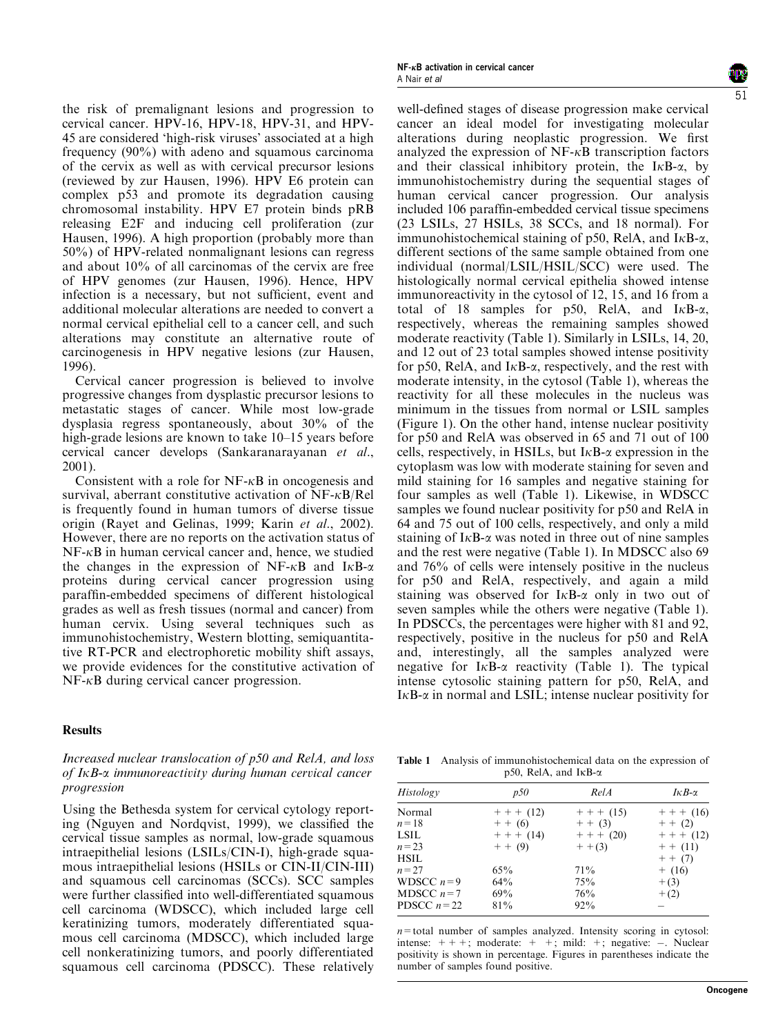the risk of premalignant lesions and progression to cervical cancer. HPV-16, HPV-18, HPV-31, and HPV-45 are considered 'high-risk viruses' associated at a high frequency (90%) with adeno and squamous carcinoma of the cervix as well as with cervical precursor lesions (reviewed by zur Hausen, 1996). HPV E6 protein can complex p53 and promote its degradation causing chromosomal instability. HPV E7 protein binds pRB releasing E2F and inducing cell proliferation (zur Hausen, 1996). A high proportion (probably more than 50%) of HPV-related nonmalignant lesions can regress and about 10% of all carcinomas of the cervix are free of HPV genomes (zur Hausen, 1996). Hence, HPV infection is a necessary, but not sufficient, event and additional molecular alterations are needed to convert a normal cervical epithelial cell to a cancer cell, and such alterations may constitute an alternative route of carcinogenesis in HPV negative lesions (zur Hausen, 1996).

Cervical cancer progression is believed to involve progressive changes from dysplastic precursor lesions to metastatic stages of cancer. While most low-grade dysplasia regress spontaneously, about 30% of the high-grade lesions are known to take 10–15 years before cervical cancer develops (Sankaranarayanan et al., 2001).

Consistent with a role for  $NF-\kappa B$  in oncogenesis and survival, aberrant constitutive activation of  $NF-\kappa B/Rel$ is frequently found in human tumors of diverse tissue origin (Rayet and Gelinas, 1999; Karin et al., 2002). However, there are no reports on the activation status of  $NF-\kappa B$  in human cervical cancer and, hence, we studied the changes in the expression of NF- $\kappa$ B and I $\kappa$ B- $\alpha$ proteins during cervical cancer progression using paraffin-embedded specimens of different histological grades as well as fresh tissues (normal and cancer) from human cervix. Using several techniques such as immunohistochemistry, Western blotting, semiquantitative RT-PCR and electrophoretic mobility shift assays, we provide evidences for the constitutive activation of  $NF-\kappa B$  during cervical cancer progression.

## Results

## Increased nuclear translocation of p50 and RelA, and loss of IkB-a immunoreactivity during human cervical cancer progression

Using the Bethesda system for cervical cytology reporting (Nguyen and Nordqvist, 1999), we classified the cervical tissue samples as normal, low-grade squamous intraepithelial lesions (LSILs/CIN-I), high-grade squamous intraepithelial lesions (HSILs or CIN-II/CIN-III) and squamous cell carcinomas (SCCs). SCC samples were further classified into well-differentiated squamous cell carcinoma (WDSCC), which included large cell keratinizing tumors, moderately differentiated squamous cell carcinoma (MDSCC), which included large cell nonkeratinizing tumors, and poorly differentiated squamous cell carcinoma (PDSCC). These relatively

well-defined stages of disease progression make cervical cancer an ideal model for investigating molecular alterations during neoplastic progression. We first analyzed the expression of  $NF- $\kappa$ B$  transcription factors and their classical inhibitory protein, the I $\kappa$ B- $\alpha$ , by immunohistochemistry during the sequential stages of human cervical cancer progression. Our analysis included 106 paraffin-embedded cervical tissue specimens (23 LSILs, 27 HSILs, 38 SCCs, and 18 normal). For immunohistochemical staining of p50, RelA, and  $I<sub>K</sub>B-<sub>\alpha</sub>$ , different sections of the same sample obtained from one individual (normal/LSIL/HSIL/SCC) were used. The histologically normal cervical epithelia showed intense immunoreactivity in the cytosol of 12, 15, and 16 from a total of 18 samples for p50, RelA, and  $I<sub>K</sub>B-\alpha$ , respectively, whereas the remaining samples showed moderate reactivity (Table 1). Similarly in LSILs, 14, 20, and 12 out of 23 total samples showed intense positivity for p50, RelA, and  $I \kappa B$ - $\alpha$ , respectively, and the rest with moderate intensity, in the cytosol (Table 1), whereas the reactivity for all these molecules in the nucleus was minimum in the tissues from normal or LSIL samples (Figure 1). On the other hand, intense nuclear positivity for p50and RelA was observed in 65 and 71 out of 100 cells, respectively, in HSILs, but  $I \kappa B$ - $\alpha$  expression in the cytoplasm was low with moderate staining for seven and mild staining for 16 samples and negative staining for four samples as well (Table 1). Likewise, in WDSCC samples we found nuclear positivity for p50 and RelA in 64 and 75 out of 100 cells, respectively, and only a mild staining of  $I_{\kappa}B$ - $\alpha$  was noted in three out of nine samples and the rest were negative (Table 1). In MDSCC also 69 and 76% of cells were intensely positive in the nucleus for p50and RelA, respectively, and again a mild staining was observed for  $I \kappa B - \alpha$  only in two out of seven samples while the others were negative (Table 1). In PDSCCs, the percentages were higher with 81 and 92, respectively, positive in the nucleus for p50 and RelA and, interestingly, all the samples analyzed were negative for  $I \kappa B$ - $\alpha$  reactivity (Table 1). The typical intense cytosolic staining pattern for p50, RelA, and  $I \kappa B$ - $\alpha$  in normal and LSIL; intense nuclear positivity for

Table 1 Analysis of immunohistochemical data on the expression of p50, RelA, and IkB-a

| Histology    | p50       | RelA         | $I \kappa B$ - $\alpha$ |
|--------------|-----------|--------------|-------------------------|
| Normal       | $+++(12)$ | $+ + + (15)$ | $+ + + (16)$            |
| $n=18$       | $+ + (6)$ | $+ + (3)$    | $+ + (2)$               |
| LSIL         | $+++(14)$ | $+++(20)$    | $+++(12)$               |
| $n = 23$     | $+ + (9)$ | $+ + (3)$    | $+ + (11)$              |
| HSIL         |           |              | $+ + (7)$               |
| $n = 27$     | 65%       | 71%          | $+$ (16)                |
| WDSCC $n=9$  | 64%       | 75%          | $+(3)$                  |
| MDSCC $n=7$  | 69%       | 76%          | $+(2)$                  |
| PDSCC $n=22$ | 81%       | 92%          |                         |
|              |           |              |                         |

 $n=$  total number of samples analyzed. Intensity scoring in cytosol: intense:  $+++$ ; moderate:  $+$  +; mild: +; negative: -. Nuclear positivity is shown in percentage. Figures in parentheses indicate the number of samples found positive.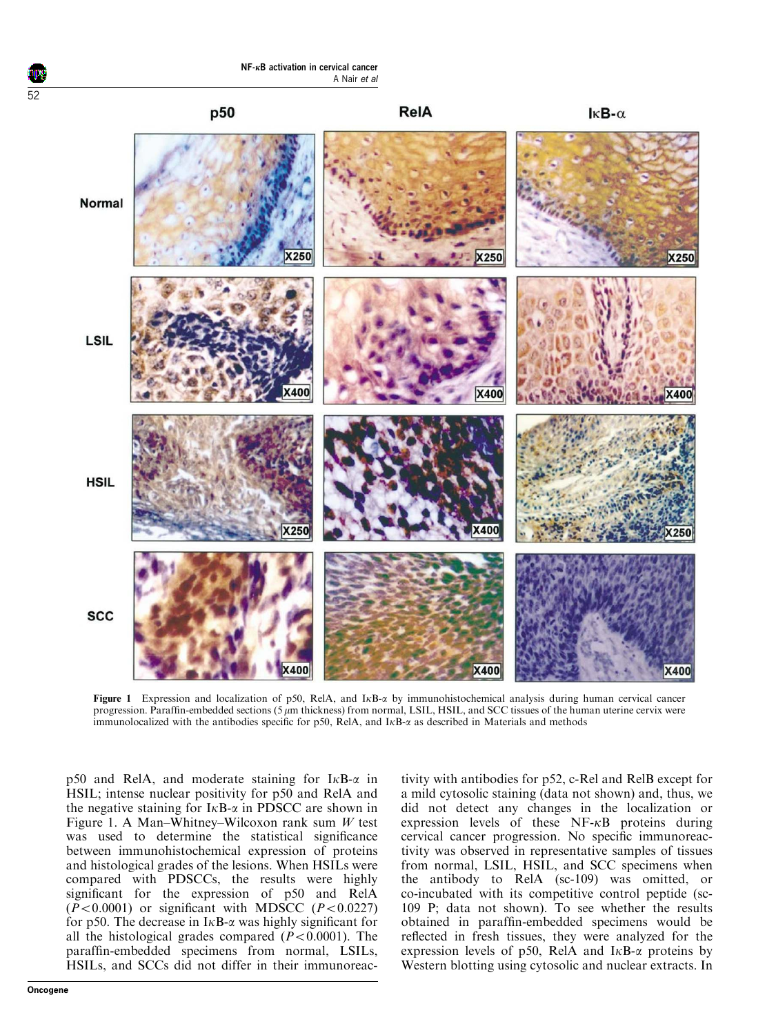

Figure 1 Expression and localization of p50, RelA, and  $I \kappa B - \alpha$  by immunohistochemical analysis during human cervical cancer progression. Paraffin-embedded sections (5  $\mu$ m thickness) from normal, LSIL, HSIL, and SCC tissues of the human uterine cervix were immunolocalized with the antibodies specific for p50, RelA, and I<sub>KB- $\alpha$ </sub> as described in Materials and methods

p50 and RelA, and moderate staining for  $I<sub>K</sub>B-<sub>\alpha</sub>$  in HSIL; intense nuclear positivity for p50 and RelA and the negative staining for  $I \kappa B$ - $\alpha$  in PDSCC are shown in Figure 1. A Man–Whitney–Wilcoxon rank sum  $W$  test was used to determine the statistical significance between immunohistochemical expression of proteins and histological grades of the lesions. When HSILs were compared with PDSCCs, the results were highly significant for the expression of p50 and RelA  $(P<0.0001)$  or significant with MDSCC  $(P<0.0227)$ for p50. The decrease in  $I \kappa B$ - $\alpha$  was highly significant for all the histological grades compared  $(P<0.0001)$ . The paraffin-embedded specimens from normal, LSILs, HSILs, and SCCs did not differ in their immunoreactivity with antibodies for p52, c-Rel and RelB except for a mild cytosolic staining (data not shown) and, thus, we did not detect any changes in the localization or expression levels of these  $NF- $\kappa$ B$  proteins during cervical cancer progression. No specific immunoreactivity was observed in representative samples of tissues from normal, LSIL, HSIL, and SCC specimens when the antibody to RelA (sc-109) was omitted, or co-incubated with its competitive control peptide (sc-109 P; data not shown). To see whether the results obtained in paraffin-embedded specimens would be reflected in fresh tissues, they were analyzed for the expression levels of p50, RelA and  $I<sub>K</sub>B-<sub>\alpha</sub>$  proteins by Western blotting using cytosolic and nuclear extracts. In

52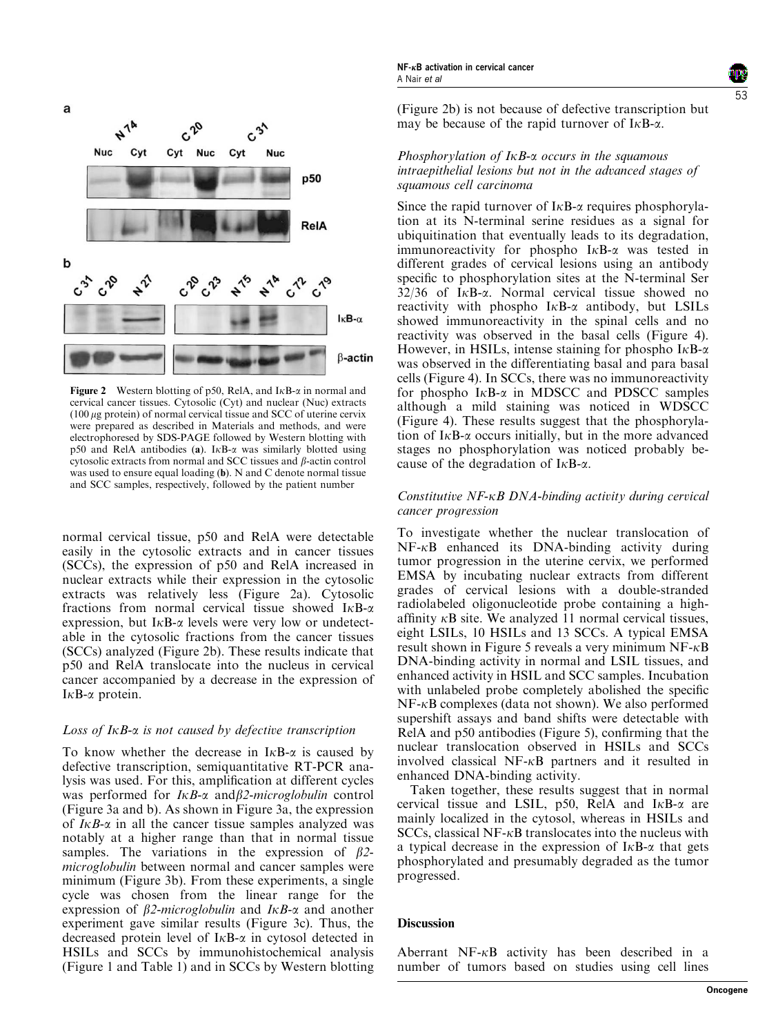



Figure 2 Western blotting of p50, RelA, and  $I \kappa B - \alpha$  in normal and cervical cancer tissues. Cytosolic (Cyt) and nuclear (Nuc) extracts  $(100 \mu$ g protein) of normal cervical tissue and SCC of uterine cervix were prepared as described in Materials and methods, and were electrophoresed by SDS-PAGE followed by Western blotting with p50 and RelA antibodies (a).  $I \kappa B$ - $\alpha$  was similarly blotted using cytosolic extracts from normal and SCC tissues and  $\beta$ -actin control was used to ensure equal loading (b). N and C denote normal tissue and SCC samples, respectively, followed by the patient number

normal cervical tissue, p50 and RelA were detectable easily in the cytosolic extracts and in cancer tissues (SCCs), the expression of p50and RelA increased in nuclear extracts while their expression in the cytosolic extracts was relatively less (Figure 2a). Cytosolic fractions from normal cervical tissue showed  $I<sub>\kappa</sub>B-\alpha$ expression, but  $I \kappa B$ - $\alpha$  levels were very low or undetectable in the cytosolic fractions from the cancer tissues (SCCs) analyzed (Figure 2b). These results indicate that p50and RelA translocate into the nucleus in cervical cancer accompanied by a decrease in the expression of  $I \kappa B$ - $\alpha$  protein.

# Loss of  $I \kappa B$ - $\alpha$  is not caused by defective transcription

To know whether the decrease in  $I<sub>K</sub>B-<sub>\alpha</sub>$  is caused by defective transcription, semiquantitative RT-PCR analysis was used. For this, amplification at different cycles was performed for  $I \kappa B$ - $\alpha$  and  $\beta$ 2-microglobulin control (Figure 3a and b). As shown in Figure 3a, the expression of  $I \kappa B$ - $\alpha$  in all the cancer tissue samples analyzed was notably at a higher range than that in normal tissue samples. The variations in the expression of  $\beta$ 2microglobulin between normal and cancer samples were minimum (Figure 3b). From these experiments, a single cycle was chosen from the linear range for the expression of  $\beta$ 2-microglobulin and I $\kappa$ B- $\alpha$  and another experiment gave similar results (Figure 3c). Thus, the decreased protein level of  $I \kappa B$ - $\alpha$  in cytosol detected in HSILs and SCCs by immunohistochemical analysis (Figure 1 and Table 1) and in SCCs by Western blotting

(Figure 2b) is not because of defective transcription but may be because of the rapid turnover of  $I \kappa B$ - $\alpha$ .

## Phosphorylation of  $I\kappa B$ - $\alpha$  occurs in the squamous intraepithelial lesions but not in the advanced stages of squamous cell carcinoma

Since the rapid turnover of  $I \kappa B$ - $\alpha$  requires phosphorylation at its N-terminal serine residues as a signal for ubiquitination that eventually leads to its degradation, immunoreactivity for phospho  $I \kappa B$ - $\alpha$  was tested in different grades of cervical lesions using an antibody specific to phosphorylation sites at the N-terminal Ser  $32/36$  of I<sub>K</sub>B- $\alpha$ . Normal cervical tissue showed no reactivity with phospho  $I \kappa B$ - $\alpha$  antibody, but LSILs showed immunoreactivity in the spinal cells and no reactivity was observed in the basal cells (Figure 4). However, in HSILs, intense staining for phospho  $I \kappa B$ - $\alpha$ was observed in the differentiating basal and para basal cells (Figure 4). In SCCs, there was no immunoreactivity for phospho  $I \kappa B$ - $\alpha$  in MDSCC and PDSCC samples although a mild staining was noticed in WDSCC (Figure 4). These results suggest that the phosphorylation of  $I \kappa B$ - $\alpha$  occurs initially, but in the more advanced stages no phosphorylation was noticed probably because of the degradation of  $I \kappa B$ - $\alpha$ .

## Constitutive NF-kB DNA-binding activity during cervical cancer progression

To investigate whether the nuclear translocation of  $NF-\kappa B$  enhanced its DNA-binding activity during tumor progression in the uterine cervix, we performed EMSA by incubating nuclear extracts from different grades of cervical lesions with a double-stranded radiolabeled oligonucleotide probe containing a highaffinity  $\kappa$ B site. We analyzed 11 normal cervical tissues, eight LSILs, 10 HSILs and 13 SCCs. A typical EMSA result shown in Figure 5 reveals a very minimum  $NF-\kappa B$ DNA-binding activity in normal and LSIL tissues, and enhanced activity in HSIL and SCC samples. Incubation with unlabeled probe completely abolished the specific  $NF-\kappa B$  complexes (data not shown). We also performed supershift assays and band shifts were detectable with RelA and p50 antibodies (Figure 5), confirming that the nuclear translocation observed in HSILs and SCCs involved classical NF- $\kappa$ B partners and it resulted in enhanced DNA-binding activity.

Taken together, these results suggest that in normal cervical tissue and LSIL, p50, RelA and  $I<sub>K</sub>B-<sub>\alpha</sub>$  are mainly localized in the cytosol, whereas in HSILs and  $SCCs$ , classical NF- $\kappa$ B translocates into the nucleus with a typical decrease in the expression of  $I \kappa B$ - $\alpha$  that gets phosphorylated and presumably degraded as the tumor progressed.

## **Discussion**

Aberrant  $NF-\kappa B$  activity has been described in a number of tumors based on studies using cell lines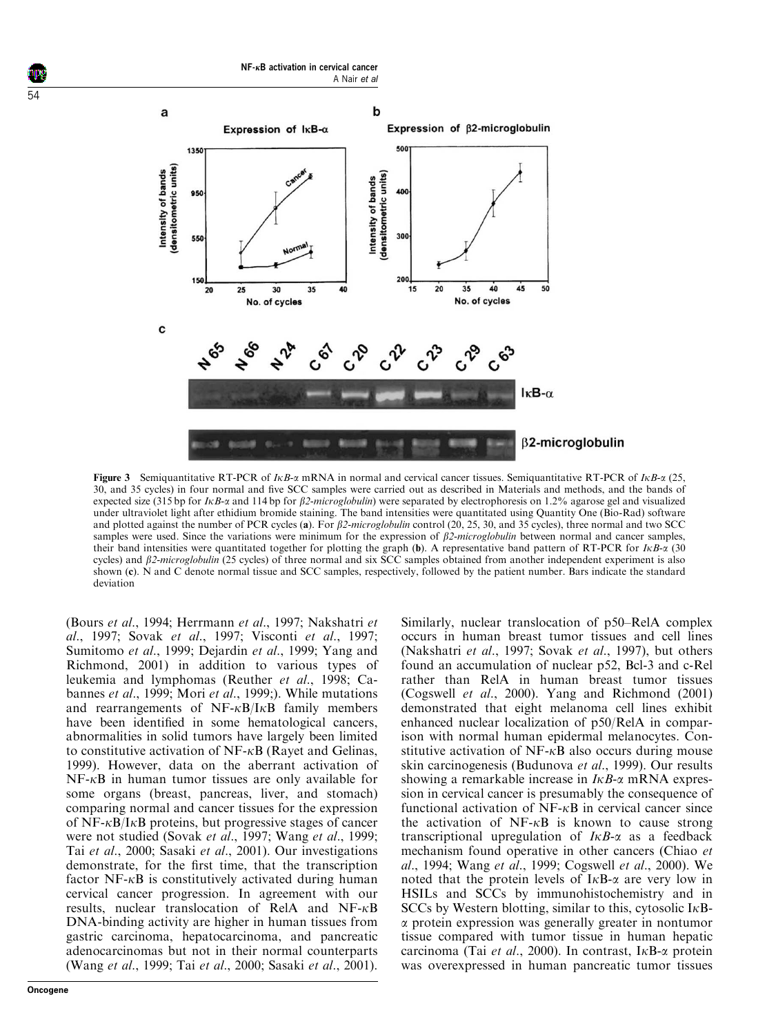

Figure 3 Semiquantitative RT-PCR of  $I\kappa B$ - $\alpha$  mRNA in normal and cervical cancer tissues. Semiquantitative RT-PCR of  $I\kappa B$ - $\alpha$  (25, 30, and 35 cycles) in four normal and five SCC samples were carried out as described in Materials and methods, and the bands of expected size (315 bp for  $I\kappa B$ - $\alpha$  and 114 bp for  $\beta$ 2-microglobulin) were separated by electrophoresis on 1.2% agarose gel and visualized under ultraviolet light after ethidium bromide staining. The band intensities were quantitated using Quantity One (Bio-Rad) software and plotted against the number of PCR cycles (a). For  $\beta$ 2-microglobulin control (20, 25, 30, and 35 cycles), three normal and two SCC samples were used. Since the variations were minimum for the expression of  $\beta$ 2-microglobulin between normal and cancer samples, their band intensities were quantitated together for plotting the graph (b). A representative band pattern of RT-PCR for  $I\kappa B-\alpha$  (30) cycles) and  $\beta$ 2-microglobulin (25 cycles) of three normal and six SCC samples obtained from another independent experiment is also shown (c). N and C denote normal tissue and SCC samples, respectively, followed by the patient number. Bars indicate the standard deviation

(Bours et al., 1994; Herrmann et al., 1997; Nakshatri et al., 1997; Sovak et al., 1997; Visconti et al., 1997; Sumitomo et al., 1999; Dejardin et al., 1999; Yang and Richmond, 2001) in addition to various types of leukemia and lymphomas (Reuther et al., 1998; Cabannes et al., 1999; Mori et al., 1999;). While mutations and rearrangements of  $NF-\kappa B/I\kappa B$  family members have been identified in some hematological cancers, abnormalities in solid tumors have largely been limited to constitutive activation of  $NF-\kappa B$  (Rayet and Gelinas, 1999). However, data on the aberrant activation of  $NF-\kappa B$  in human tumor tissues are only available for some organs (breast, pancreas, liver, and stomach) comparing normal and cancer tissues for the expression of  $NF-\kappa B/I\kappa B$  proteins, but progressive stages of cancer were not studied (Sovak et al., 1997; Wang et al., 1999; Tai et al., 2000; Sasaki et al., 2001). Our investigations demonstrate, for the first time, that the transcription factor  $NF-\kappa B$  is constitutively activated during human cervical cancer progression. In agreement with our results, nuclear translocation of RelA and NF-kB DNA-binding activity are higher in human tissues from gastric carcinoma, hepatocarcinoma, and pancreatic adenocarcinomas but not in their normal counterparts (Wang et al., 1999; Tai et al., 2000; Sasaki et al., 2001). Similarly, nuclear translocation of p50–RelA complex occurs in human breast tumor tissues and cell lines (Nakshatri et al., 1997; Sovak et al., 1997), but others found an accumulation of nuclear p52, Bcl-3 and c-Rel rather than RelA in human breast tumor tissues (Cogswell et al., 2000). Yang and Richmond (2001) demonstrated that eight melanoma cell lines exhibit enhanced nuclear localization of p50/RelA in comparison with normal human epidermal melanocytes. Constitutive activation of  $NF-\kappa B$  also occurs during mouse skin carcinogenesis (Budunova et al., 1999). Our results showing a remarkable increase in  $I\kappa B$ - $\alpha$  mRNA expression in cervical cancer is presumably the consequence of functional activation of  $NF-\kappa B$  in cervical cancer since the activation of  $NF-\kappa B$  is known to cause strong transcriptional upregulation of  $I\kappa B$ - $\alpha$  as a feedback mechanism found operative in other cancers (Chiao et al., 1994; Wang et al., 1999; Cogswell et al., 2000). We noted that the protein levels of  $I \kappa B$ - $\alpha$  are very low in HSILs and SCCs by immunohistochemistry and in SCCs by Western blotting, similar to this, cytosolic I $\kappa$ Ba protein expression was generally greater in nontumor tissue compared with tumor tissue in human hepatic carcinoma (Tai et al., 2000). In contrast, I $\kappa$ B- $\alpha$  protein was overexpressed in human pancreatic tumor tissues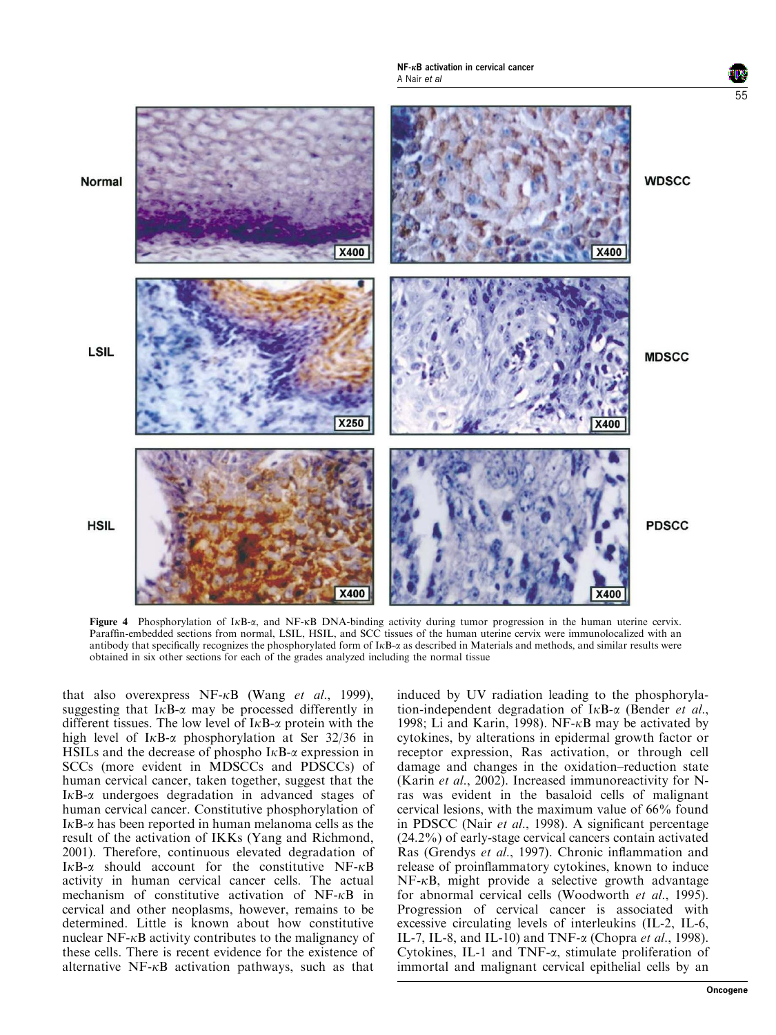

Figure 4 Phosphorylation of IKB- $\alpha$ , and NF-KB DNA-binding activity during tumor progression in the human uterine cervix. Paraffin-embedded sections from normal, LSIL, HSIL, and SCC tissues of the human uterine cervix were immunolocalized with an antibody that specifically recognizes the phosphorylated form of  $I\kappa B$ - $\alpha$  as described in Materials and methods, and similar results were obtained in six other sections for each of the grades analyzed including the normal tissue

that also overexpress NF- $\kappa$ B (Wang et al., 1999), suggesting that  $I \kappa B$ - $\alpha$  may be processed differently in different tissues. The low level of  $I \kappa B$ - $\alpha$  protein with the high level of  $I_{\kappa}B_{-\alpha}$  phosphorylation at Ser 32/36 in HSILs and the decrease of phospho  $I<sub>K</sub>B-<sub>\alpha</sub>$  expression in SCCs (more evident in MDSCCs and PDSCCs) of human cervical cancer, taken together, suggest that the  $I \kappa B$ - $\alpha$  undergoes degradation in advanced stages of human cervical cancer. Constitutive phosphorylation of  $I<sub>K</sub>B-<sub>\alpha</sub>$  has been reported in human melanoma cells as the result of the activation of IKKs (Yang and Richmond, 2001). Therefore, continuous elevated degradation of  $I\kappa B-\alpha$  should account for the constitutive NF- $\kappa B$ activity in human cervical cancer cells. The actual mechanism of constitutive activation of  $NF-\kappa B$  in cervical and other neoplasms, however, remains to be determined. Little is known about how constitutive nuclear  $NF-\kappa B$  activity contributes to the malignancy of these cells. There is recent evidence for the existence of alternative  $NF-\kappa B$  activation pathways, such as that

induced by UV radiation leading to the phosphorylation-independent degradation of  $I \kappa B$ - $\alpha$  (Bender *et al.*, 1998; Li and Karin, 1998). NF- $\kappa$ B may be activated by cytokines, by alterations in epidermal growth factor or receptor expression, Ras activation, or through cell damage and changes in the oxidation–reduction state (Karin et al., 2002). Increased immunoreactivity for Nras was evident in the basaloid cells of malignant cervical lesions, with the maximum value of 66% found in PDSCC (Nair et al., 1998). A significant percentage (24.2%) of early-stage cervical cancers contain activated Ras (Grendys et al., 1997). Chronic inflammation and release of proinflammatory cytokines, known to induce  $NF-\kappa B$ , might provide a selective growth advantage for abnormal cervical cells (Woodworth et al., 1995). Progression of cervical cancer is associated with excessive circulating levels of interleukins (IL-2, IL-6, IL-7, IL-8, and IL-10) and TNF- $\alpha$  (Chopra *et al.*, 1998). Cytokines, IL-1 and TNF- $\alpha$ , stimulate proliferation of immortal and malignant cervical epithelial cells by an

55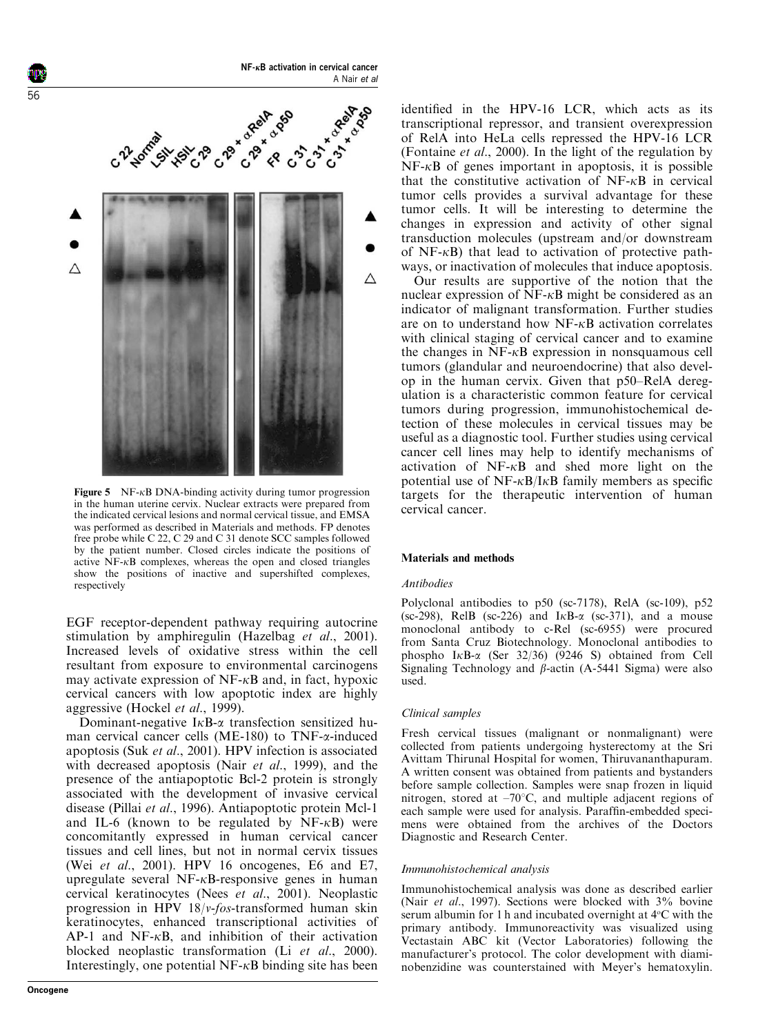

**Figure 5** NF- $\kappa$ B DNA-binding activity during tumor progression in the human uterine cervix. Nuclear extracts were prepared from the indicated cervical lesions and normal cervical tissue, and EMSA was performed as described in Materials and methods. FP denotes free probe while C 22, C 29 and C 31 denote SCC samples followed by the patient number. Closed circles indicate the positions of active  $\overline{NF}$ - $\kappa$ B complexes, whereas the open and closed triangles show the positions of inactive and supershifted complexes, respectively

EGF receptor-dependent pathway requiring autocrine stimulation by amphiregulin (Hazelbag et al., 2001). Increased levels of oxidative stress within the cell resultant from exposure to environmental carcinogens may activate expression of  $NF-\kappa B$  and, in fact, hypoxic cervical cancers with low apoptotic index are highly aggressive (Hockel et al., 1999).

Dominant-negative  $I \kappa B$ - $\alpha$  transfection sensitized human cervical cancer cells (ME-180) to TNF- $\alpha$ -induced apoptosis (Suk et al., 2001). HPV infection is associated with decreased apoptosis (Nair *et al.*, 1999), and the presence of the antiapoptotic Bcl-2 protein is strongly associated with the development of invasive cervical disease (Pillai et al., 1996). Antiapoptotic protein Mcl-1 and IL-6 (known to be regulated by  $NF-\kappa B$ ) were concomitantly expressed in human cervical cancer tissues and cell lines, but not in normal cervix tissues (Wei et al., 2001). HPV 16 oncogenes, E6 and E7, upregulate several  $NF-\kappa B$ -responsive genes in human cervical keratinocytes (Nees et al., 2001). Neoplastic progression in HPV 18/v-fos-transformed human skin keratinocytes, enhanced transcriptional activities of  $AP-1$  and  $NF-\kappa B$ , and inhibition of their activation blocked neoplastic transformation (Li et al., 2000). Interestingly, one potential  $NF-\kappa B$  binding site has been identified in the HPV-16 LCR, which acts as its transcriptional repressor, and transient overexpression of RelA into HeLa cells repressed the HPV-16 LCR (Fontaine et al., 2000). In the light of the regulation by  $NF-\kappa B$  of genes important in apoptosis, it is possible that the constitutive activation of  $NF-\kappa B$  in cervical tumor cells provides a survival advantage for these tumor cells. It will be interesting to determine the changes in expression and activity of other signal transduction molecules (upstream and/or downstream of  $NF-<sub>k</sub>B$ ) that lead to activation of protective pathways, or inactivation of molecules that induce apoptosis.

Our results are supportive of the notion that the nuclear expression of  $\overline{NF}$ - $\kappa$ B might be considered as an indicator of malignant transformation. Further studies are on to understand how  $NF-\kappa B$  activation correlates with clinical staging of cervical cancer and to examine the changes in  $NF-\kappa B$  expression in nonsquamous cell tumors (glandular and neuroendocrine) that also develop in the human cervix. Given that p50–RelA deregulation is a characteristic common feature for cervical tumors during progression, immunohistochemical detection of these molecules in cervical tissues may be useful as a diagnostic tool. Further studies using cervical cancer cell lines may help to identify mechanisms of activation of  $NF-\kappa B$  and shed more light on the potential use of  $NF-\kappa B/I\kappa B$  family members as specific targets for the therapeutic intervention of human cervical cancer.

## Materials and methods

## Antibodies

Polyclonal antibodies to p50 (sc-7178), RelA (sc-109), p52 (sc-298), RelB (sc-226) and  $I<sub>K</sub>B-<sub>\alpha</sub>$  (sc-371), and a mouse monoclonal antibody to c-Rel (sc-6955) were procured from Santa Cruz Biotechnology. Monoclonal antibodies to phospho I<sub>K</sub>B- $\alpha$  (Ser 32/36) (9246 S) obtained from Cell Signaling Technology and  $\beta$ -actin (A-5441 Sigma) were also used.

#### Clinical samples

Fresh cervical tissues (malignant or nonmalignant) were collected from patients undergoing hysterectomy at the Sri Avittam Thirunal Hospital for women, Thiruvananthapuram. A written consent was obtained from patients and bystanders before sample collection. Samples were snap frozen in liquid nitrogen, stored at  $-70^{\circ}$ C, and multiple adjacent regions of each sample were used for analysis. Paraffin-embedded specimens were obtained from the archives of the Doctors Diagnostic and Research Center.

### Immunohistochemical analysis

Immunohistochemical analysis was done as described earlier (Nair et al., 1997). Sections were blocked with 3% bovine serum albumin for 1 h and incubated overnight at  $4^{\circ}$ C with the primary antibody. Immunoreactivity was visualized using Vectastain ABC kit (Vector Laboratories) following the manufacturer's protocol. The color development with diaminobenzidine was counterstained with Meyer's hematoxylin.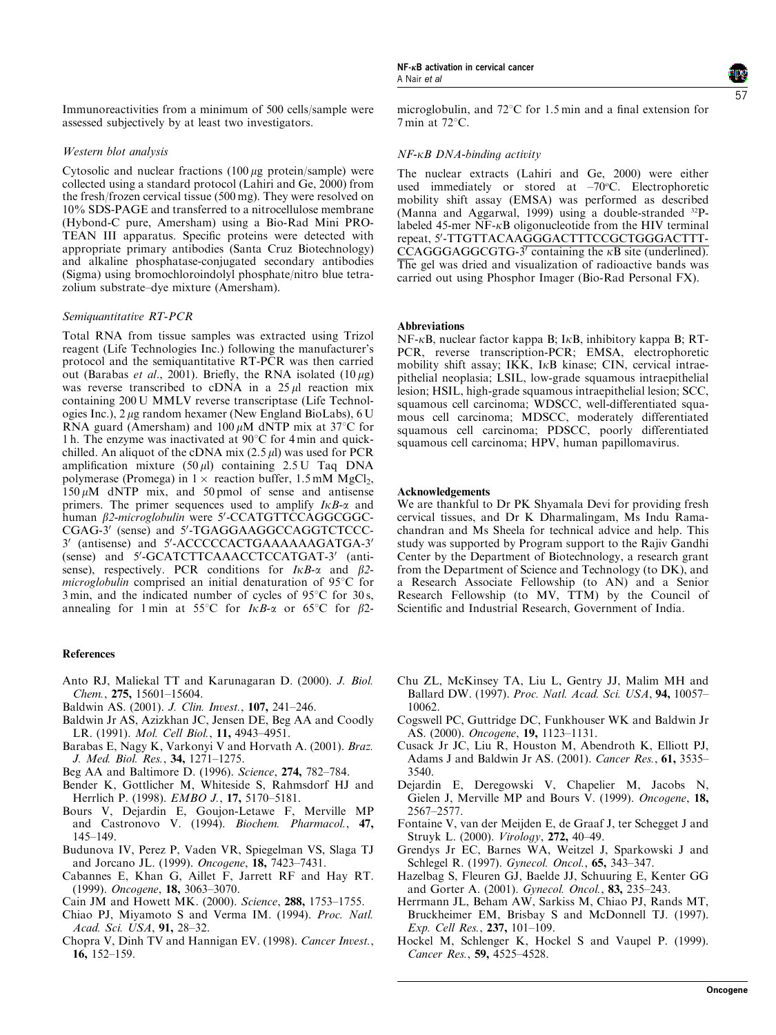Immunoreactivities from a minimum of 500 cells/sample were assessed subjectively by at least two investigators.

### Western blot analysis

Cytosolic and nuclear fractions  $(100 \mu g)$  protein/sample) were collected using a standard protocol (Lahiri and Ge, 2000) from the fresh/frozen cervical tissue (500 mg). They were resolved on 10% SDS-PAGE and transferred to a nitrocellulose membrane (Hybond-C pure, Amersham) using a Bio-Rad Mini PRO-TEAN III apparatus. Specific proteins were detected with appropriate primary antibodies (Santa Cruz Biotechnology) and alkaline phosphatase-conjugated secondary antibodies (Sigma) using bromochloroindolyl phosphate/nitro blue tetrazolium substrate–dye mixture (Amersham).

#### Semiquantitative RT-PCR

Total RNA from tissue samples was extracted using Trizol reagent (Life Technologies Inc.) following the manufacturer's protocol and the semiquantitative RT-PCR was then carried out (Barabas et al., 2001). Briefly, the RNA isolated  $(10 \,\mu g)$ was reverse transcribed to cDNA in a  $25 \mu l$  reaction mix containing 200 U MMLV reverse transcriptase (Life Technologies Inc.), 2 mg random hexamer (New England BioLabs), 6 U RNA guard (Amersham) and  $100 \mu$ M dNTP mix at 37°C for 1 h. The enzyme was inactivated at  $90^{\circ}$ C for 4 min and quickchilled. An aliquot of the cDNA mix  $(2.5 \mu l)$  was used for PCR amplification mixture  $(50 \text{ µ})$  containing  $2.5 \text{ U}$  Taq DNA polymerase (Promega) in  $1 \times$  reaction buffer,  $1.5 \text{ mM } MgCl_2$ ,  $150 \mu M$  dNTP mix, and 50 pmol of sense and antisense primers. The primer sequences used to amplify  $I \kappa B$ - $\alpha$  and human  $\beta$ 2-microglobulin were 5'-CCATGTTCCAGGCGGC-CGAG-3' (sense) and 5'-TGAGGAAGGCCAGGTCTCCC-3' (antisense) and 5'-ACCCCCACTGAAAAAAGATGA-3' (sense) and 5'-GCATCTTCAAACCTCCATGAT-3' (antisense), respectively. PCR conditions for  $I\kappa B$ - $\alpha$  and  $\beta$ 2microglobulin comprised an initial denaturation of  $95^{\circ}$ C for 3 min, and the indicated number of cycles of  $95^{\circ}$ C for 30s, annealing for 1 min at 55°C for  $I\kappa B$ - $\alpha$  or 65°C for  $\beta$ 2-

#### References

- Anto RJ, Maliekal TT and Karunagaran D. (2000). J. Biol. Chem., 275, 15601–15604.
- Baldwin AS. (2001). J. Clin. Invest., 107, 241–246.
- Baldwin Jr AS, Azizkhan JC, Jensen DE, Beg AA and Coodly LR. (1991). Mol. Cell Biol., 11, 4943–4951.
- Barabas E, Nagy K, Varkonyi V and Horvath A. (2001). Braz. J. Med. Biol. Res., 34, 1271–1275.
- Beg AA and Baltimore D. (1996). Science, 274, 782–784.
- Bender K, Gottlicher M, Whiteside S, Rahmsdorf HJ and Herrlich P. (1998). EMBO J., 17, 5170-5181.
- Bours V, Dejardin E, Goujon-Letawe F, Merville MP and Castronovo V. (1994). Biochem. Pharmacol., 47, 145–149.
- Budunova IV, Perez P, Vaden VR, Spiegelman VS, Slaga TJ and Jorcano JL. (1999). Oncogene, 18, 7423–7431.
- Cabannes E, Khan G, Aillet F, Jarrett RF and Hay RT. (1999). Oncogene, 18, 3063–3070.
- Cain JM and Howett MK. (2000). Science, 288, 1753–1755.
- Chiao PJ, Miyamoto S and Verma IM. (1994). Proc. Natl. Acad. Sci. USA, 91, 28–32.
- Chopra V, Dinh TV and Hannigan EV. (1998). Cancer Invest., 16, 152–159.

57

microglobulin, and  $72^{\circ}$ C for 1.5 min and a final extension for  $7$  min at  $72^{\circ}$ C.

## NF-kB DNA-binding activity

The nuclear extracts (Lahiri and Ge, 2000) were either used immediately or stored at  $-70^{\circ}$ C. Electrophoretic mobility shift assay (EMSA) was performed as described (Manna and Aggarwal, 1999) using a double-stranded <sup>32</sup>Plabeled 45-mer  $NF-<sub>k</sub>B$  oligonucleotide from the HIV terminal repeat, 5'-TTGTTACAAGGGACTTTCCGCTGGGACTTT- $\overline{C}\text{CAGGGAGGGTG-3'}$  containing the  $\kappa\text{B}$  site (underlined). The gel was dried and visualization of radioactive bands was carried out using Phosphor Imager (Bio-Rad Personal FX).

#### **Abbreviations**

 $NF-\kappa B$ , nuclear factor kappa B; I $\kappa B$ , inhibitory kappa B; RT-PCR, reverse transcription-PCR; EMSA, electrophoretic mobility shift assay; IKK, IkB kinase; CIN, cervical intraepithelial neoplasia; LSIL, low-grade squamous intraepithelial lesion; HSIL, high-grade squamous intraepithelial lesion; SCC, squamous cell carcinoma; WDSCC, well-differentiated squamous cell carcinoma; MDSCC, moderately differentiated squamous cell carcinoma; PDSCC, poorly differentiated squamous cell carcinoma; HPV, human papillomavirus.

#### Acknowledgements

We are thankful to Dr PK Shyamala Devi for providing fresh cervical tissues, and Dr K Dharmalingam, Ms Indu Ramachandran and Ms Sheela for technical advice and help. This study was supported by Program support to the Rajiv Gandhi Center by the Department of Biotechnology, a research grant from the Department of Science and Technology (to DK), and a Research Associate Fellowship (to AN) and a Senior Research Fellowship (to MV, TTM) by the Council of Scientific and Industrial Research, Government of India.

- Chu ZL, McKinsey TA, Liu L, Gentry JJ, Malim MH and Ballard DW. (1997). Proc. Natl. Acad. Sci. USA, 94, 10057-10062.
- Cogswell PC, Guttridge DC, Funkhouser WK and Baldwin Jr AS. (2000). *Oncogene*, **19,** 1123-1131.
- Cusack Jr JC, Liu R, Houston M, Abendroth K, Elliott PJ, Adams J and Baldwin Jr AS. (2001). Cancer Res., 61, 3535– 3540.
- Dejardin E, Deregowski V, Chapelier M, Jacobs N, Gielen J, Merville MP and Bours V. (1999). Oncogene, 18, 2567–2577.
- Fontaine V, van der Meijden E, de Graaf J, ter Schegget J and Struyk L. (2000). Virology, 272, 40–49.
- Grendys Jr EC, Barnes WA, Weitzel J, Sparkowski J and Schlegel R. (1997). Gynecol. Oncol., 65, 343-347.
- Hazelbag S, Fleuren GJ, Baelde JJ, Schuuring E, Kenter GG and Gorter A. (2001). Gynecol. Oncol., 83, 235-243.
- Herrmann JL, Beham AW, Sarkiss M, Chiao PJ, Rands MT, Bruckheimer EM, Brisbay S and McDonnell TJ. (1997). Exp. Cell Res., 237, 101–109.
- Hockel M, Schlenger K, Hockel S and Vaupel P. (1999). Cancer Res., 59, 4525–4528.